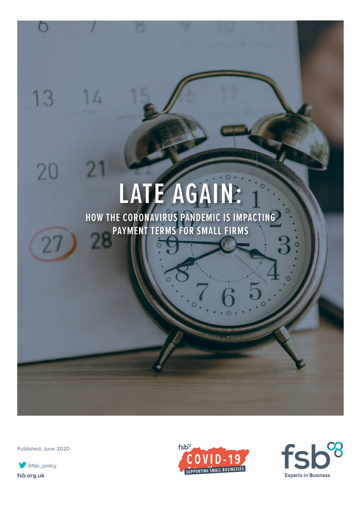# **LATE AGAIN:**

**HOW THE CORONAVIRUS PANDEMIC IS IMPACTING PAYMENT TERMS FOR SMALL FIRMS**

Published: June 2020

 $14$ 

2

13

20

**[fsb.org.uk](http://fsb.org.uk) Ofsb\_policy** 



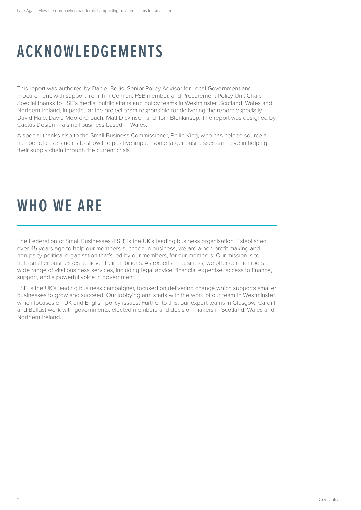### **ACKNOWLEDGEMENTS**

This report was authored by Daniel Bellis, Senior Policy Advisor for Local Government and Procurement, with support from Tim Colman, FSB member, and Procurement Policy Unit Chair. Special thanks to FSB's media, public affairs and policy teams in Westminster, Scotland, Wales and Northern Ireland, in particular the project team responsible for delivering the report: especially David Hale, David Moore-Crouch, Matt Dickinson and Tom Blenkinsop. The report was designed by Cactus Design – a small business based in Wales.

A special thanks also to the Small Business Commissioner, Philip King, who has helped source a number of case studies to show the positive impact some larger businesses can have in helping their supply chain through the current crisis.

### **WHO WE ARE**

The Federation of Small Businesses (FSB) is the UK's leading business organisation. Established over 45 years ago to help our members succeed in business, we are a non-profit making and non-party political organisation that's led by our members, for our members. Our mission is to help smaller businesses achieve their ambitions. As experts in business, we offer our members a wide range of vital business services, including legal advice, financial expertise, access to finance, support, and a powerful voice in government.

FSB is the UK's leading business campaigner, focused on delivering change which supports smaller businesses to grow and succeed. Our lobbying arm starts with the work of our team in Westminster, which focuses on UK and English policy issues. Further to this, our expert teams in Glasgow, Cardiff and Belfast work with governments, elected members and decision-makers in Scotland, Wales and Northern Ireland.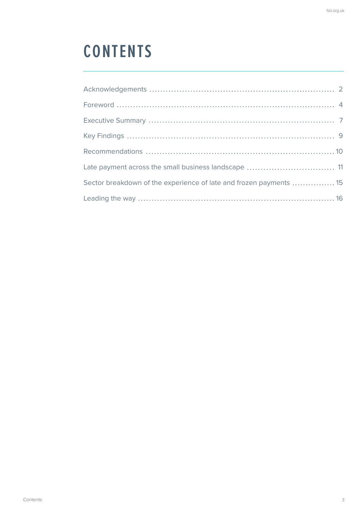### **CONTENTS**

| Late payment across the small business landscape  11               |  |
|--------------------------------------------------------------------|--|
| Sector breakdown of the experience of late and frozen payments  15 |  |
|                                                                    |  |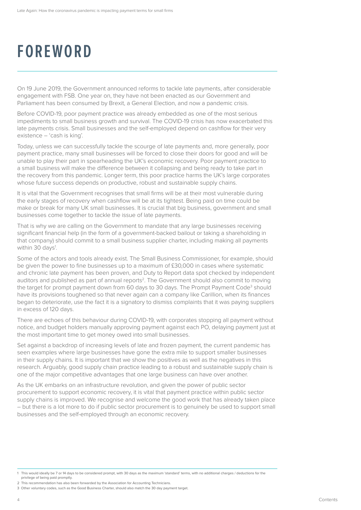### **FOREWORD**

On 19 June 2019, the Government announced reforms to tackle late payments, after considerable engagement with FSB. One year on, they have not been enacted as our Government and Parliament has been consumed by Brexit, a General Election, and now a pandemic crisis.

Before COVID-19, poor payment practice was already embedded as one of the most serious impediments to small business growth and survival. The COVID-19 crisis has now exacerbated this late payments crisis. Small businesses and the self-employed depend on cashflow for their very existence – 'cash is king'.

Today, unless we can successfully tackle the scourge of late payments and, more generally, poor payment practice, many small businesses will be forced to close their doors for good and will be unable to play their part in spearheading the UK's economic recovery. Poor payment practice to a small business will make the difference between it collapsing and being ready to take part in the recovery from this pandemic. Longer term, this poor practice harms the UK's large corporates whose future success depends on productive, robust and sustainable supply chains.

It is vital that the Government recognises that small firms will be at their most vulnerable during the early stages of recovery when cashflow will be at its tightest. Being paid on time could be make or break for many UK small businesses. It is crucial that big business, government and small businesses come together to tackle the issue of late payments.

That is why we are calling on the Government to mandate that any large businesses receiving significant financial help (in the form of a government-backed bailout or taking a shareholding in that company) should commit to a small business supplier charter, including making all payments within 30 days<sup>1</sup>.

Some of the actors and tools already exist. The Small Business Commissioner, for example, should be given the power to fine businesses up to a maximum of £30,000 in cases where systematic and chronic late payment has been proven, and Duty to Report data spot checked by independent auditors and published as part of annual reports2. The Government should also commit to moving the target for prompt payment down from 60 days to 30 days. The Prompt Payment Code<sup>3</sup> should have its provisions toughened so that never again can a company like Carillion, when its finances began to deteriorate, use the fact it is a signatory to dismiss complaints that it was paying suppliers in excess of 120 days.

There are echoes of this behaviour during COVID-19, with corporates stopping all payment without notice, and budget holders manually approving payment against each PO, delaying payment just at the most important time to get money owed into small businesses.

Set against a backdrop of increasing levels of late and frozen payment, the current pandemic has seen examples where large businesses have gone the extra mile to support smaller businesses in their supply chains. It is important that we show the positives as well as the negatives in this research. Arguably, good supply chain practice leading to a robust and sustainable supply chain is one of the major competitive advantages that one large business can have over another.

As the UK embarks on an infrastructure revolution, and given the power of public sector procurement to support economic recovery, it is vital that payment practice within public sector supply chains is improved. We recognise and welcome the good work that has already taken place – but there is a lot more to do if public sector procurement is to genuinely be used to support small businesses and the self-employed through an economic recovery.

2 This recommendation has also been forwarded by the Association for Accounting Technicians.

<sup>1</sup> This would ideally be 7 or 14 days to be considered prompt, with 30 days as the maximum 'standard' terms, with no additional charges / deductions for the privilege of being paid promptly.

<sup>3</sup> Other voluntary codes, such as the Good Business Charter, should also match the 30 day payment target.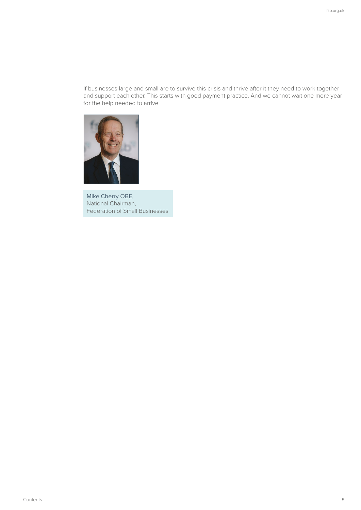If businesses large and small are to survive this crisis and thrive after it they need to work together and support each other. This starts with good payment practice. And we cannot wait one more year for the help needed to arrive.



 Mike Cherry OBE, National Chairman, Federation of Small Businesses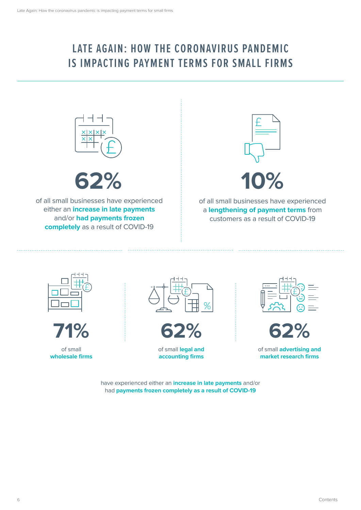### **LATE AGAIN: HOW THE CORONAVIRUS PANDEMIC IS IMPACTING PAYMENT TERMS FOR SMALL FIRMS**



**62%**

of all small businesses have experienced either an **increase in late payments** and/or **had payments frozen completely** as a result of COVID-19



of all small businesses have experienced a **lengthening of payment terms** from customers as a result of COVID-19





of small **wholesale firms**



$$
62%
$$

of small **legal and accounting firms**





of small **advertising and market research firms** 

have experienced either an **increase in late payments** and/or had **payments frozen completely as a result of COVID-19**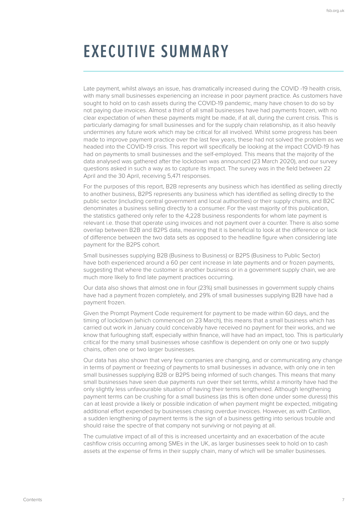### **EXECUTIVE SUMMARY**

Late payment, whilst always an issue, has dramatically increased during the COVID -19 health crisis, with many small businesses experiencing an increase in poor payment practice. As customers have sought to hold on to cash assets during the COVID-19 pandemic, many have chosen to do so by not paying due invoices. Almost a third of all small businesses have had payments frozen, with no clear expectation of when these payments might be made, if at all, during the current crisis. This is particularly damaging for small businesses and for the supply chain relationship, as it also heavily undermines any future work which may be critical for all involved. Whilst some progress has been made to improve payment practice over the last few years, these had not solved the problem as we headed into the COVID-19 crisis. This report will specifically be looking at the impact COVID-19 has had on payments to small businesses and the self-employed. This means that the majority of the data analysed was gathered after the lockdown was announced (23 March 2020), and our survey questions asked in such a way as to capture its impact. The survey was in the field between 22 April and the 30 April, receiving 5,471 responses.

For the purposes of this report, B2B represents any business which has identified as selling directly to another business, B2PS represents any business which has identified as selling directly to the public sector (including central government and local authorities) or their supply chains, and B2C denominates a business selling directly to a consumer. For the vast majority of this publication, the statistics gathered only refer to the 4,228 business respondents for whom late payment is relevant i.e. those that operate using invoices and not payment over a counter. There is also some overlap between B2B and B2PS data, meaning that it is beneficial to look at the difference or lack of difference between the two data sets as opposed to the headline figure when considering late payment for the B2PS cohort.

Small businesses supplying B2B (Business to Business) or B2PS (Business to Public Sector) have both experienced around a 60 per cent increase in late payments and or frozen payments, suggesting that where the customer is another business or in a government supply chain, we are much more likely to find late payment practices occurring.

Our data also shows that almost one in four (23%) small businesses in government supply chains have had a payment frozen completely, and 29% of small businesses supplying B2B have had a payment frozen.

Given the Prompt Payment Code requirement for payment to be made within 60 days, and the timing of lockdown (which commenced on 23 March), this means that a small business which has carried out work in January could conceivably have received no payment for their works, and we know that furloughing staff, especially within finance, will have had an impact, too. This is particularly critical for the many small businesses whose cashflow is dependent on only one or two supply chains, often one or two larger businesses.

Our data has also shown that very few companies are changing, and or communicating any change in terms of payment or freezing of payments to small businesses in advance, with only one in ten small businesses supplying B2B or B2PS being informed of such changes. This means that many small businesses have seen due payments run over their set terms, whilst a minority have had the only slightly less unfavourable situation of having their terms lengthened. Although lengthening payment terms can be crushing for a small business (as this is often done under some duress) this can at least provide a likely or possible indication of when payment might be expected, mitigating additional effort expended by businesses chasing overdue invoices. However, as with Carillion, a sudden lengthening of payment terms is the sign of a business getting into serious trouble and should raise the spectre of that company not surviving or not paying at all.

The cumulative impact of all of this is increased uncertainty and an exacerbation of the acute cashflow crisis occurring among SMEs in the UK, as larger businesses seek to hold on to cash assets at the expense of firms in their supply chain, many of which will be smaller businesses.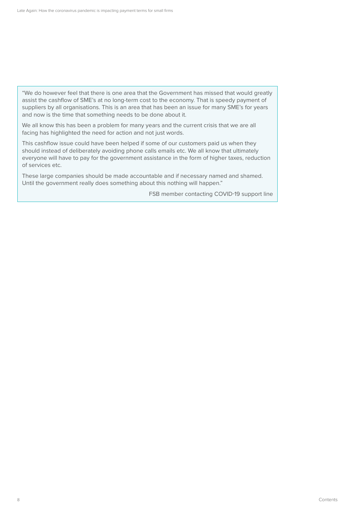"We do however feel that there is one area that the Government has missed that would greatly assist the cashflow of SME's at no long-term cost to the economy. That is speedy payment of suppliers by all organisations. This is an area that has been an issue for many SME's for years and now is the time that something needs to be done about it.

We all know this has been a problem for many years and the current crisis that we are all facing has highlighted the need for action and not just words.

This cashflow issue could have been helped if some of our customers paid us when they should instead of deliberately avoiding phone calls emails etc. We all know that ultimately everyone will have to pay for the government assistance in the form of higher taxes, reduction of services etc.

These large companies should be made accountable and if necessary named and shamed. Until the government really does something about this nothing will happen."

FSB member contacting COVID-19 support line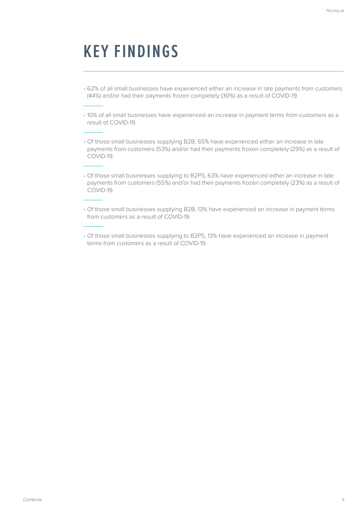### **KEY FINDINGS**

- 62% of all small businesses have experienced either an increase in late payments from customers (44%) and/or had their payments frozen completely (30%) as a result of COVID-19.
- 10% of all small businesses have experienced an increase in payment terms from customers as a result of COVID-19.
- Of those small businesses supplying B2B, 65% have experienced either an increase in late payments from customers (53%) and/or had their payments frozen completely (29%) as a result of COVID-19.
- Of those small businesses supplying to B2PS, 63% have experienced either an increase in late payments from customers (55%) and/or had their payments frozen completely (23%) as a result of COVID-19.
- Of those small businesses supplying B2B, 13% have experienced an increase in payment terms from customers as a result of COVID-19.
- Of those small businesses supplying to B2PS, 13% have experienced an increase in payment terms from customers as a result of COVID-19.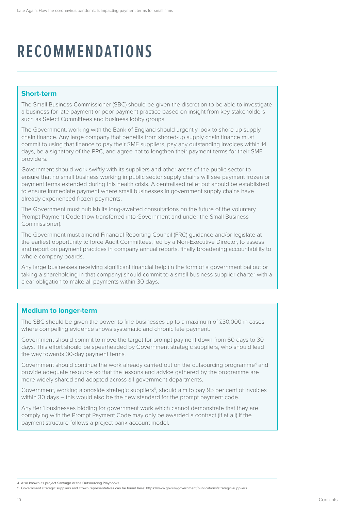### **RECOMMENDATIONS**

#### **Short-term**

The Small Business Commissioner (SBC) should be given the discretion to be able to investigate a business for late payment or poor payment practice based on insight from key stakeholders such as Select Committees and business lobby groups.

The Government, working with the Bank of England should urgently look to shore up supply chain finance. Any large company that benefits from shored-up supply chain finance must commit to using that finance to pay their SME suppliers, pay any outstanding invoices within 14 days, be a signatory of the PPC, and agree not to lengthen their payment terms for their SME providers.

Government should work swiftly with its suppliers and other areas of the public sector to ensure that no small business working in public sector supply chains will see payment frozen or payment terms extended during this health crisis. A centralised relief pot should be established to ensure immediate payment where small businesses in government supply chains have already experienced frozen payments.

The Government must publish its long-awaited consultations on the future of the voluntary Prompt Payment Code (now transferred into Government and under the Small Business Commissioner).

The Government must amend Financial Reporting Council (FRC) guidance and/or legislate at the earliest opportunity to force Audit Committees, led by a Non-Executive Director, to assess and report on payment practices in company annual reports, finally broadening accountability to whole company boards.

Any large businesses receiving significant financial help (in the form of a government bailout or taking a shareholding in that company) should commit to a small business supplier charter with a clear obligation to make all payments within 30 days.

#### **Medium to longer-term**

The SBC should be given the power to fine businesses up to a maximum of £30,000 in cases where compelling evidence shows systematic and chronic late payment.

Government should commit to move the target for prompt payment down from 60 days to 30 days. This effort should be spearheaded by Government strategic suppliers, who should lead the way towards 30-day payment terms.

Government should continue the work already carried out on the outsourcing programme<sup>4</sup> and provide adequate resource so that the lessons and advice gathered by the programme are more widely shared and adopted across all government departments.

Government, working alongside strategic suppliers<sup>5</sup>, should aim to pay 95 per cent of invoices within 30 days – this would also be the new standard for the prompt payment code.

Any tier 1 businesses bidding for government work which cannot demonstrate that they are complying with the Prompt Payment Code may only be awarded a contract (if at all) if the payment structure follows a project bank account model.

<sup>4</sup> Also known as project Santiago or the Outsourcing Playbooks.

<sup>5</sup> Government strategic suppliers and crown representatives can be found here:<https://www.gov.uk/government/publications/strategic-suppliers>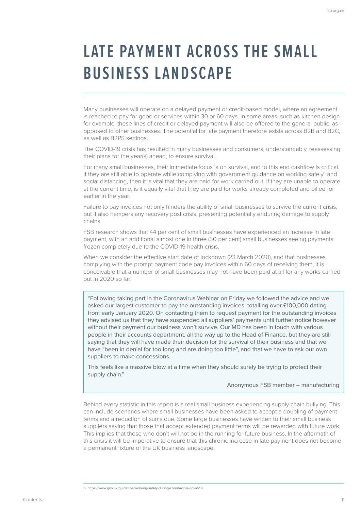### **LATE PAYMENT ACROSS THE SMALL BUSINESS LANDSCAPE**

Many businesses will operate on a delayed payment or credit-based model, where an agreement is reached to pay for good or services within 30 or 60 days. In some areas, such as kitchen design for example, these lines of credit or delayed payment will also be offered to the general public, as opposed to other businesses. The potential for late payment therefore exists across B2B and B2C, as well as B2PS settings.

The COVID-19 crisis has resulted in many businesses and consumers, understandably, reassessing their plans for the year(s) ahead, to ensure survival.

For many small businesses, their immediate focus is on survival, and to this end cashflow is critical. If they are still able to operate while complying with government guidance on working safely6 and social distancing, then it is vital that they are paid for work carried out. If they are unable to operate at the current time, is it equally vital that they are paid for works already completed and billed for earlier in the year.

Failure to pay invoices not only hinders the ability of small businesses to survive the current crisis, but it also hampers any recovery post crisis, presenting potentially enduring damage to supply chains.

FSB research shows that 44 per cent of small businesses have experienced an increase in late payment, with an additional almost one in three (30 per cent) small businesses seeing payments frozen completely due to the COVID-19 health crisis.

When we consider the effective start date of lockdown (23 March 2020), and that businesses complying with the prompt payment code pay invoices within 60 days of receiving them, it is conceivable that a number of small businesses may not have been paid at all for any works carried out in 2020 so far.

"Following taking part in the Coronavirus Webinar on Friday we followed the advice and we asked our largest customer to pay the outstanding invoices, totalling over £100,000 dating from early January 2020. On contacting them to request payment for the outstanding invoices they advised us that they have suspended all suppliers' payments until further notice however without their payment our business won't survive. Our MD has been in touch with various people in their accounts department, all the way up to the Head of Finance, but they are still saying that they will have made their decision for the survival of their business and that we have "been in denial for too long and are doing too little", and that we have to ask our own suppliers to make concessions.

This feels like a massive blow at a time when they should surely be trying to protect their supply chain."

Anonymous FSB member – manufacturing

Behind every statistic in this report is a real small business experiencing supply chain bullying. This can include scenarios where small businesses have been asked to accept a doubling of payment terms and a reduction of sums due. Some large businesses have written to their small business suppliers saying that those that accept extended payment terms will be rewarded with future work. This implies that those who don't will not be in the running for future business. In the aftermath of this crisis it will be imperative to ensure that this chronic increase in late payment does not become a permanent fixture of the UK business landscape.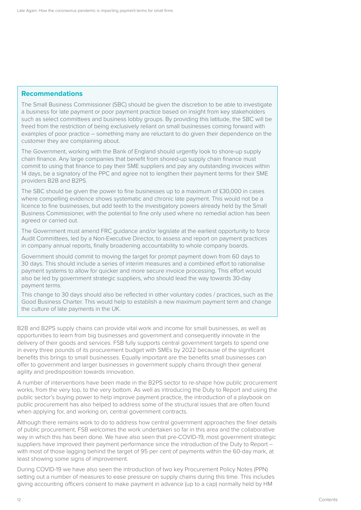#### **Recommendations**

The Small Business Commissioner (SBC) should be given the discretion to be able to investigate a business for late payment or poor payment practice based on insight from key stakeholders such as select committees and business lobby groups. By providing this latitude, the SBC will be freed from the restriction of being exclusively reliant on small businesses coming forward with examples of poor practice – something many are reluctant to do given their dependence on the customer they are complaining about.

The Government, working with the Bank of England should urgently look to shore-up supply chain finance. Any large companies that benefit from shored-up supply chain finance must commit to using that finance to pay their SME suppliers and pay any outstanding invoices within 14 days, be a signatory of the PPC and agree not to lengthen their payment terms for their SME providers B2B and B2PS.

The SBC should be given the power to fine businesses up to a maximum of £30,000 in cases where compelling evidence shows systematic and chronic late payment. This would not be a licence to fine businesses, but add teeth to the investigatory powers already held by the Small Business Commissioner, with the potential to fine only used where no remedial action has been agreed or carried out.

The Government must amend FRC guidance and/or legislate at the earliest opportunity to force Audit Committees, led by a Non-Executive Director, to assess and report on payment practices in company annual reports, finally broadening accountability to whole company boards.

Government should commit to moving the target for prompt payment down from 60 days to 30 days. This should include a series of interim measures and a combined effort to rationalise payment systems to allow for quicker and more secure invoice processing. This effort would also be led by government strategic suppliers, who should lead the way towards 30-day payment terms.

This change to 30 days should also be reflected in other voluntary codes / practices, such as the Good Business Charter. This would help to establish a new maximum payment term and change the culture of late payments in the UK.

B2B and B2PS supply chains can provide vital work and income for small businesses, as well as opportunities to learn from big businesses and government and consequently innovate in the delivery of their goods and services. FSB fully supports central government targets to spend one in every three pounds of its procurement budget with SMEs by 2022 because of the significant benefits this brings to small businesses. Equally important are the benefits small businesses can offer to government and larger businesses in government supply chains through their general agility and predisposition towards innovation.

A number of interventions have been made in the B2PS sector to re-shape how public procurement works, from the very top, to the very bottom. As well as introducing the Duty to Report and using the public sector's buying power to help improve payment practice, the introduction of a playbook on public procurement has also helped to address some of the structural issues that are often found when applying for, and working on, central government contracts.

Although there remains work to do to address how central government approaches the finer details of public procurement, FSB welcomes the work undertaken so far in this area and the collaborative way in which this has been done. We have also seen that pre-COVID-19, most government strategic suppliers have improved their payment performance since the introduction of the Duty to Report with most of those lagging behind the target of 95 per cent of payments within the 60-day mark, at least showing some signs of improvement.

During COVID-19 we have also seen the introduction of two key Procurement Policy Notes (PPN) setting out a number of measures to ease pressure on supply chains during this time. This includes giving accounting officers consent to make payment in advance (up to a cap) normally held by HM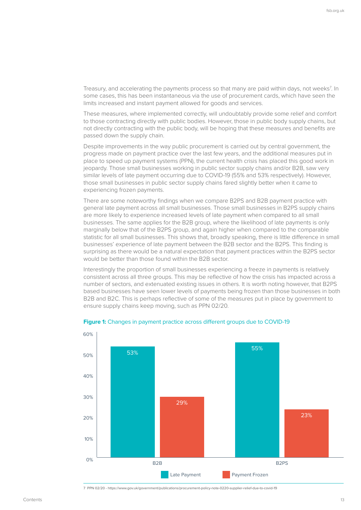Treasury, and accelerating the payments process so that many are paid within days, not weeks<sup>7</sup>. In some cases, this has been instantaneous via the use of procurement cards, which have seen the limits increased and instant payment allowed for goods and services.

These measures, where implemented correctly, will undoubtably provide some relief and comfort to those contracting directly with public bodies. However, those in public body supply chains, but not directly contracting with the public body, will be hoping that these measures and benefits are passed down the supply chain.

Despite improvements in the way public procurement is carried out by central government, the progress made on payment practice over the last few years, and the additional measures put in place to speed up payment systems (PPN), the current health crisis has placed this good work in jeopardy. Those small businesses working in public sector supply chains and/or B2B, saw very similar levels of late payment occurring due to COVID-19 (55% and 53% respectively). However, those small businesses in public sector supply chains fared slightly better when it came to experiencing frozen payments.

There are some noteworthy findings when we compare B2PS and B2B payment practice with general late payment across all small businesses. Those small businesses in B2PS supply chains are more likely to experience increased levels of late payment when compared to all small businesses. The same applies for the B2B group, where the likelihood of late payments is only marginally below that of the B2PS group, and again higher when compared to the comparable statistic for all small businesses. This shows that, broadly speaking, there is little difference in small businesses' experience of late payment between the B2B sector and the B2PS. This finding is surprising as there would be a natural expectation that payment practices within the B2PS sector would be better than those found within the B2B sector.

Interestingly the proportion of small businesses experiencing a freeze in payments is relatively consistent across all three groups. This may be reflective of how the crisis has impacted across a number of sectors, and extenuated existing issues in others. It is worth noting however, that B2PS based businesses have seen lower levels of payments being frozen than those businesses in both B2B and B2C. This is perhaps reflective of some of the measures put in place by government to ensure supply chains keep moving, such as PPN 02/20.



#### **Figure 1:** Changes in payment practice across different groups due to COVID-19

7 PPN 02/20 - <https://www.gov.uk/government/publications/procurement-policy-note-0220-supplier-relief-due-to-covid-19>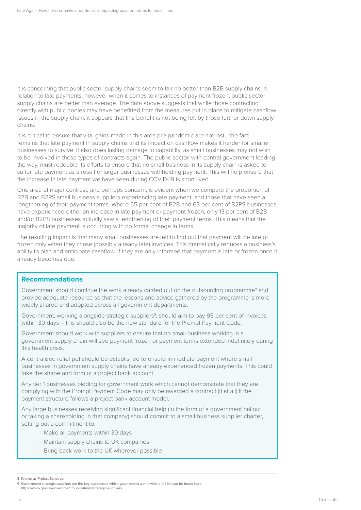It is concerning that public sector supply chains seem to fair no better than B2B supply chains in relation to late payments, however when it comes to instances of payment frozen, public sector supply chains are better than average. The data above suggests that while those contracting directly with public bodies may have benefitted from the measures put in place to mitigate cashflow issues in the supply chain, it appears that this benefit is not being felt by those further down supply chains.

It is critical to ensure that vital gains made in this area pre-pandemic are not lost - the fact remains that late payment in supply chains and its impact on cashflow makes it harder for smaller businesses to survive. It also does lasting damage to capability, as small businesses may not wish to be involved in these types of contracts again. The public sector, with central government leading the way, must redouble its efforts to ensure that no small business in its supply chain is asked to suffer late payment as a result of larger businesses withholding payment. This will help ensure that the increase in late payment we have seen during COVID-19 is short lived

One area of major contrast, and perhaps concern, is evident when we compare the proportion of B2B and B2PS small business suppliers experiencing late payment, and those that have seen a lengthening of their payment terms. Where 65 per cent of B2B and 63 per cent of B2PS businesses have experienced either an increase in late payment or payment frozen, only 13 per cent of B2B and/or B2PS businesses actually saw a lengthening of their payment terms. This means that the majority of late payment is occurring with no formal change in terms.

The resulting impact is that many small businesses are left to find out that payment will be late or frozen only when they chase (possibly already late) invoices. This dramatically reduces a business's ability to plan and anticipate cashflow, if they are only informed that payment is late or frozen once it already becomes due.

#### **Recommendations**

Government should continue the work already carried out on the outsourcing programme<sup>8</sup> and provide adequate resource so that the lessons and advice gathered by the programme is more widely shared and adopted across all government departments.

Government, working alongside strategic suppliers<sup>9</sup>, should aim to pay 95 per cent of invoices within 30 days – this should also be the new standard for the Prompt Payment Code.

Government should work with suppliers to ensure that no small business working in a government supply chain will see payment frozen or payment terms extended indefinitely during this health crisis.

A centralised relief pot should be established to ensure immediate payment where small businesses in government supply chains have already experienced frozen payments. This could take the shape and form of a project bank account.

Any tier 1 businesses bidding for government work which cannot demonstrate that they are complying with the Prompt Payment Code may only be awarded a contract (if at all) if the payment structure follows a project bank account model.

Any large businesses receiving significant financial help (in the form of a government bailout or taking a shareholding in that company) should commit to a small business supplier charter, setting out a commitment to:

- Make all payments within 30 days
- Maintain supply chains to UK companies
- Bring back work to the UK wherever possible

<https://www.gov.uk/government/publications/strategic-suppliers>

<sup>8</sup> Known as Project Santiago.

<sup>9</sup> Government strategic suppliers are the key businesses which government works with, a full list can be found here: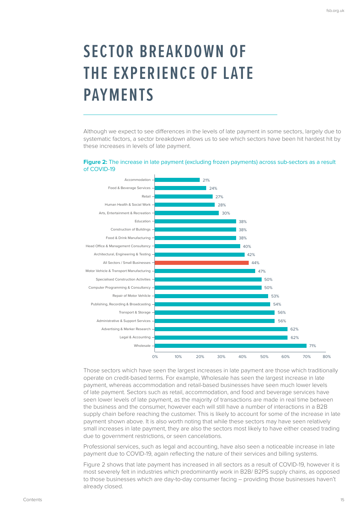## **SECTOR BREAKDOWN OF THE EXPERIENCE OF LATE PAYMENTS**

Although we expect to see differences in the levels of late payment in some sectors, largely due to systematic factors, a sector breakdown allows us to see which sectors have been hit hardest hit by these increases in levels of late payment.

#### Figure 2: The increase in late payment (excluding frozen payments) across sub-sectors as a result of COVID-19



Those sectors which have seen the largest increases in late payment are those which traditionally operate on credit-based terms. For example, Wholesale has seen the largest increase in late payment, whereas accommodation and retail-based businesses have seen much lower levels of late payment. Sectors such as retail, accommodation, and food and beverage services have seen lower levels of late payment, as the majority of transactions are made in real time between the business and the consumer, however each will still have a number of interactions in a B2B supply chain before reaching the customer. This is likely to account for some of the increase in late payment shown above. It is also worth noting that while these sectors may have seen relatively small increases in late payment, they are also the sectors most likely to have either ceased trading due to government restrictions, or seen cancelations.

Professional services, such as legal and accounting, have also seen a noticeable increase in late payment due to COVID-19, again reflecting the nature of their services and billing systems.

Figure 2 shows that late payment has increased in all sectors as a result of COVID-19, however it is most severely felt in industries which predominantly work in B2B/ B2PS supply chains, as opposed to those businesses which are day-to-day consumer facing – providing those businesses haven't already closed.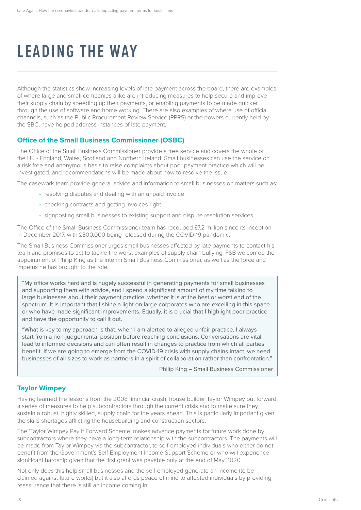## **LEADING THE WAY**

Although the statistics show increasing levels of late payment across the board, there are examples of where large and small companies alike are introducing measures to help secure and improve their supply chain by speeding up their payments, or enabling payments to be made quicker through the use of software and home working. There are also examples of where use of official channels, such as the Public Procurement Review Service (PPRS) or the powers currently held by the SBC, have helped address instances of late payment.

#### **Office of the Small Business Commissioner (OSBC)**

The Office of the Small Business Commissioner provide a free service and covers the whole of the UK - England, Wales, Scotland and Northern Ireland. Small businesses can use the service on a risk free and anonymous basis to raise complaints about poor payment practice which will be investigated, and recommendations will be made about how to resolve the issue.

The casework team provide general advice and information to small businesses on matters such as:

- resolving disputes and dealing with an unpaid invoice
- checking contracts and getting invoices right
- signposting small businesses to existing support and dispute resolution services

The Office of the Small Business Commissioner team has recouped £7.2 million since its inception in December 2017, with £500,000 being released during the COVID-19 pandemic.

The Small Business Commissioner urges small businesses affected by late payments to contact his team and promises to act to tackle the worst examples of supply chain bullying. FSB welcomed the appointment of Philip King as the interim Small Business Commissioner, as well as the force and impetus he has brought to the role.

"My office works hard and is hugely successful in generating payments for small businesses and supporting them with advice, and I spend a significant amount of my time talking to large businesses about their payment practice, whether it is at the best or worst end of the spectrum. It is important that I shine a light on large corporates who are excelling in this space or who have made significant improvements. Equally, it is crucial that I highlight poor practice and have the opportunity to call it out.

"What is key to my approach is that, when I am alerted to alleged unfair practice, I always start from a non-judgemental position before reaching conclusions. Conversations are vital, lead to informed decisions and can often result in changes to practice from which all parties benefit. If we are going to emerge from the COVID-19 crisis with supply chains intact, we need businesses of all sizes to work as partners in a spirit of collaboration rather than confrontation."

Philip King – Small Business Commissioner

#### **Taylor Wimpey**

Having learned the lessons from the 2008 financial crash, house builder Taylor Wimpey put forward a series of measures to help subcontractors through the current crisis and to make sure they sustain a robust, highly skilled, supply chain for the years ahead. This is particularly important given the skills shortages afflicting the housebuilding and construction sectors.

The 'Taylor Wimpey Pay It Forward Scheme' makes advance payments for future work done by subcontractors where they have a long-term relationship with the subcontractors. The payments will be made from Taylor Wimpey via the subcontractor, to self-employed individuals who either do not benefit from the Government's Self-Employment Income Support Scheme or who will experience significant hardship given that the first grant was payable only at the end of May 2020.

Not only does this help small businesses and the self-employed generate an income (to be claimed against future works) but it also affords peace of mind to affected individuals by providing reassurance that there is still an income coming in.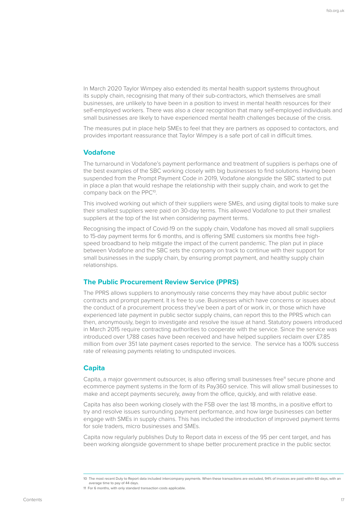In March 2020 Taylor Wimpey also extended its mental health support systems throughout its supply chain, recognising that many of their sub-contractors, which themselves are small businesses, are unlikely to have been in a position to invest in mental health resources for their self-employed workers. There was also a clear recognition that many self-employed individuals and small businesses are likely to have experienced mental health challenges because of the crisis.

The measures put in place help SMEs to feel that they are partners as opposed to contactors, and provides important reassurance that Taylor Wimpey is a safe port of call in difficult times.

#### **Vodafone**

The turnaround in Vodafone's payment performance and treatment of suppliers is perhaps one of the best examples of the SBC working closely with big businesses to find solutions. Having been suspended from the Prompt Payment Code in 2019, Vodafone alongside the SBC started to put in place a plan that would reshape the relationship with their supply chain, and work to get the company back on the PPC<sup>10</sup>.

This involved working out which of their suppliers were SMEs, and using digital tools to make sure their smallest suppliers were paid on 30-day terms. This allowed Vodafone to put their smallest suppliers at the top of the list when considering payment terms.

Recognising the impact of Covid-19 on the supply chain, Vodafone has moved all small suppliers to 15-day payment terms for 6 months, and is offering SME customers six months free highspeed broadband to help mitigate the impact of the current pandemic. The plan put in place between Vodafone and the SBC sets the company on track to continue with their support for small businesses in the supply chain, by ensuring prompt payment, and healthy supply chain relationships.

#### **The Public Procurement Review Service (PPRS)**

The PPRS allows suppliers to anonymously raise concerns they may have about public sector contracts and prompt payment. It is free to use. Businesses which have concerns or issues about the conduct of a procurement process they've been a part of or work in, or those which have experienced late payment in public sector supply chains, can report this to the PPRS which can then, anonymously, begin to investigate and resolve the issue at hand. Statutory powers introduced in March 2015 require contracting authorities to cooperate with the service. Since the service was introduced over 1,788 cases have been received and have helped suppliers reclaim over £7.85 million from over 351 late payment cases reported to the service. The service has a 100% success rate of releasing payments relating to undisputed invoices.

#### **Capita**

Capita, a major government outsourcer, is also offering small businesses free<sup>11</sup> secure phone and ecommerce payment systems in the form of its Pay360 service. This will allow small businesses to make and accept payments securely, away from the office, quickly, and with relative ease.

Capita has also been working closely with the FSB over the last 18 months, in a positive effort to try and resolve issues surrounding payment performance, and how large businesses can better engage with SMEs in supply chains. This has included the introduction of improved payment terms for sole traders, micro businesses and SMEs.

Capita now regularly publishes Duty to Report data in excess of the 95 per cent target, and has been working alongside government to shape better procurement practice in the public sector.

<sup>10</sup> The most recent Duty to Report data included intercompany payments. When these transactions are excluded, 94% of invoices are paid within 60 days, with an average time to pay of 44 days.

<sup>11</sup> For 6 months, with only standard transaction costs applicable.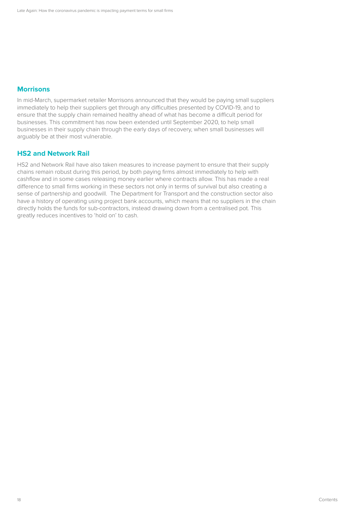#### **Morrisons**

In mid-March, supermarket retailer Morrisons announced that they would be paying small suppliers immediately to help their suppliers get through any difficulties presented by COVID-19, and to ensure that the supply chain remained healthy ahead of what has become a difficult period for businesses. This commitment has now been extended until September 2020, to help small businesses in their supply chain through the early days of recovery, when small businesses will arguably be at their most vulnerable.

#### **HS2 and Network Rail**

HS2 and Network Rail have also taken measures to increase payment to ensure that their supply chains remain robust during this period, by both paying firms almost immediately to help with cashflow and in some cases releasing money earlier where contracts allow. This has made a real difference to small firms working in these sectors not only in terms of survival but also creating a sense of partnership and goodwill. The Department for Transport and the construction sector also have a history of operating using project bank accounts, which means that no suppliers in the chain directly holds the funds for sub-contractors, instead drawing down from a centralised pot. This greatly reduces incentives to 'hold on' to cash.